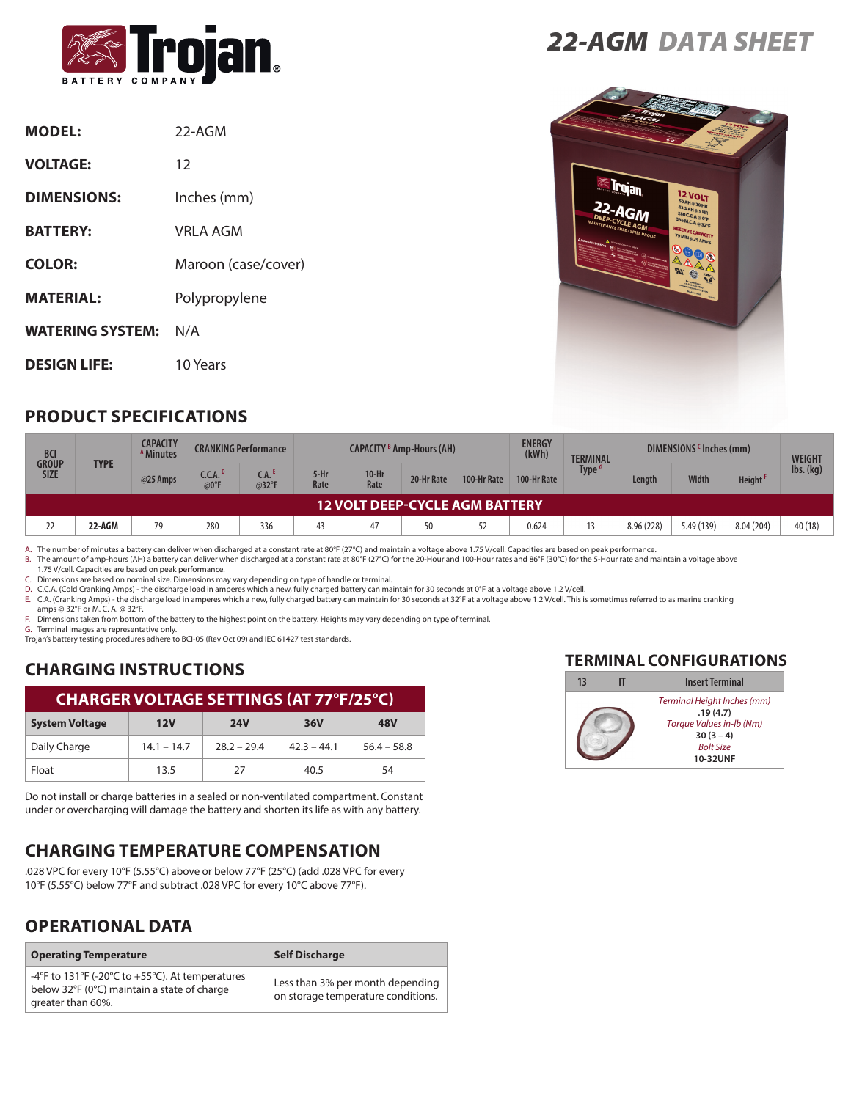

| <b>MODEL:</b>           | 22-AGM              |
|-------------------------|---------------------|
| <b>VOLTAGE:</b>         | 12                  |
| <b>DIMENSIONS:</b>      | Inches (mm)         |
| <b>BATTERY:</b>         | VRI A AGM           |
| <b>COLOR:</b>           | Maroon (case/cover) |
| <b>MATERIAL:</b>        | Polypropylene       |
| <b>WATERING SYSTEM:</b> | N/A                 |
| <b>DESIGN LIFE:</b>     | 10 Years            |

# *22-AGM DATA SHEET*



### **PRODUCT SPECIFICATIONS**

| <b>BCI</b><br><b>GROUP</b>            | <b>TYPE</b> | <b>CAPACITY</b><br><sup>A</sup> Minutes |                             | <b>CRANKING Performance</b> | <b>CAPACITY <sup>B</sup> Amp-Hours (AH)</b> |                 |            | <b>ENERGY</b><br>(kWh) | <b>TERMINAL</b> | DIMENSIONS (Inches (mm) |            | <b>WEIGHT</b> |                     |                              |
|---------------------------------------|-------------|-----------------------------------------|-----------------------------|-----------------------------|---------------------------------------------|-----------------|------------|------------------------|-----------------|-------------------------|------------|---------------|---------------------|------------------------------|
| <b>SIZE</b>                           |             | @25 Amps                                | C.C.A. <sup>D</sup><br>@0°F | CA. <sup>E</sup><br>@32°F   | 5-Hr<br>Rate                                | $10-Hr$<br>Rate | 20-Hr Rate | 100-Hr Rate            | 100-Hr Rate     | <b>Type</b>             | Length     | <b>Width</b>  | Height <sup>F</sup> | $\mathsf{Ibs}.(\mathsf{kq})$ |
| <b>12 VOLT DEEP-CYCLE AGM BATTERY</b> |             |                                         |                             |                             |                                             |                 |            |                        |                 |                         |            |               |                     |                              |
| 22                                    | 22-AGM      | 79                                      | 280                         | 336                         | 43                                          | 47              | 50         | 52                     | 0.624           | 13                      | 8.96 (228) | 5.49 (139)    | 8.04 (204)          | 40 (18)                      |

A. The number of minutes a battery can deliver when discharged at a constant rate at 80°F (27°C) and maintain a voltage above 1.75 V/cell. Capacities are based on peak performance.

B. The amount of amp-hours (AH) a battery can deliver when discharged at a constant rate at 80°F (27°C) for the 20-Hour and 100-Hour rates and 86°F (30°C) for the 5-Hour rate and maintain a voltage above<br>1.75 V/cell. Capac

C. Dimensions are based on nominal size. Dimensions may vary depending on type of handle or terminal.

D. C.C.A. (Cold Cranking Amps) - the discharge load in amperes which a new, fully charged battery can maintain for 30 seconds at 0°F at a voltage above 1.2 V/cell.

E. C.A. (Cranking Amps) - the discharge load in amperes which a new, fully charged battery can maintain for 30 seconds at 32°F at a voltage above 1.2 V/cell. This is sometimes referred to as marine cranking amps @ 32°F or M. C. A. @ 32°F.

F. Dimensions taken from bottom of the battery to the highest point on the battery. Heights may vary depending on type of terminal.

G. Terminal images are representative only.

Trojan's battery testing procedures adhere to BCI-05 (Rev Oct 09) and IEC 61427 test standards.

## **CHARGING INSTRUCTIONS**

#### **CHARGER VOLTAGE SETTINGS (AT 77°F/25°C)**

| <b>System Voltage</b> | 12V           | <b>24V</b>    | 36V           | 48V           |  |
|-----------------------|---------------|---------------|---------------|---------------|--|
| Daily Charge          | $14.1 - 14.7$ | $28.2 - 29.4$ | $42.3 - 44.1$ | $56.4 - 58.8$ |  |
| Float                 | 13.5          | 27            | 40.5          | 54            |  |

Do not install or charge batteries in a sealed or non-ventilated compartment. Constant under or overcharging will damage the battery and shorten its life as with any battery.

## **CHARGING TEMPERATURE COMPENSATION**

.028 VPC for every 10°F (5.55°C) above or below 77°F (25°C) (add .028 VPC for every 10°F (5.55°C) below 77°F and subtract .028 VPC for every 10°C above 77°F).

## **OPERATIONAL DATA**

| <b>Operating Temperature</b>                                                                                        | <b>Self Discharge</b>                                                  |
|---------------------------------------------------------------------------------------------------------------------|------------------------------------------------------------------------|
| -4°F to 131°F (-20°C to +55°C). At temperatures<br>below 32°F (0°C) maintain a state of charge<br>greater than 60%. | Less than 3% per month depending<br>on storage temperature conditions. |

#### **TERMINAL CONFIGURATIONS**